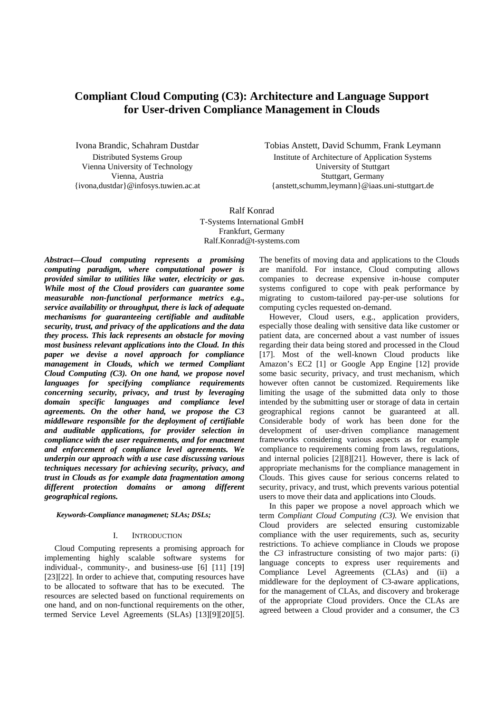# **Compliant Cloud Computing (C3): Architecture and Language Support for User-driven Compliance Management in Clouds**

Ivona Brandic, Schahram Dustdar Distributed Systems Group Vienna University of Technology Vienna, Austria {ivona,dustdar}@infosys.tuwien.ac.at Tobias Anstett, David Schumm, Frank Leymann Institute of Architecture of Application Systems University of Stuttgart Stuttgart, Germany {anstett,schumm,leymann}@iaas.uni-stuttgart.de

Ralf Konrad T-Systems International GmbH Frankfurt, Germany Ralf.Konrad@t-systems.com

*Abstract—Cloud computing represents a promising computing paradigm, where computational power is provided similar to utilities like water, electricity or gas. While most of the Cloud providers can guarantee some measurable non-functional performance metrics e.g., service availability or throughput, there is lack of adequate mechanisms for guaranteeing certifiable and auditable security, trust, and privacy of the applications and the data they process. This lack represents an obstacle for moving most business relevant applications into the Cloud. In this paper we devise a novel approach for compliance management in Clouds, which we termed Compliant Cloud Computing (C3). On one hand, we propose novel languages for specifying compliance requirements concerning security, privacy, and trust by leveraging domain specific languages and compliance level agreements. On the other hand, we propose the C3 middleware responsible for the deployment of certifiable and auditable applications, for provider selection in compliance with the user requirements, and for enactment and enforcement of compliance level agreements. We underpin our approach with a use case discussing various techniques necessary for achieving security, privacy, and trust in Clouds as for example data fragmentation among different protection domains or among different geographical regions.* 

# *Keywords-Compliance managmenet; SLAs; DSLs;*

# I. INTRODUCTION

Cloud Computing represents a promising approach for implementing highly scalable software systems for individual-, community-, and business-use [6] [11] [19] [23][22]. In order to achieve that, computing resources have to be allocated to software that has to be executed. The resources are selected based on functional requirements on one hand, and on non-functional requirements on the other, termed Service Level Agreements (SLAs) [13][9][20][5].

The benefits of moving data and applications to the Clouds are manifold. For instance, Cloud computing allows companies to decrease expensive in-house computer systems configured to cope with peak performance by migrating to custom-tailored pay-per-use solutions for computing cycles requested on-demand.

However, Cloud users, e.g., application providers, especially those dealing with sensitive data like customer or patient data, are concerned about a vast number of issues regarding their data being stored and processed in the Cloud [17]. Most of the well-known Cloud products like Amazon's EC2 [1] or Google App Engine [12] provide some basic security, privacy, and trust mechanism, which however often cannot be customized. Requirements like limiting the usage of the submitted data only to those intended by the submitting user or storage of data in certain geographical regions cannot be guaranteed at all. Considerable body of work has been done for the development of user-driven compliance management frameworks considering various aspects as for example compliance to requirements coming from laws, regulations, and internal policies [2][8][21]. However, there is lack of appropriate mechanisms for the compliance management in Clouds. This gives cause for serious concerns related to security, privacy, and trust, which prevents various potential users to move their data and applications into Clouds.

In this paper we propose a novel approach which we term *Compliant Cloud Computing (C3).* We envision that Cloud providers are selected ensuring customizable compliance with the user requirements, such as, security restrictions. To achieve compliance in Clouds we propose the *C3* infrastructure consisting of two major parts: (i) language concepts to express user requirements and Compliance Level Agreements (CLAs) and (ii) a middleware for the deployment of C3-aware applications, for the management of CLAs, and discovery and brokerage of the appropriate Cloud providers. Once the CLAs are agreed between a Cloud provider and a consumer, the C3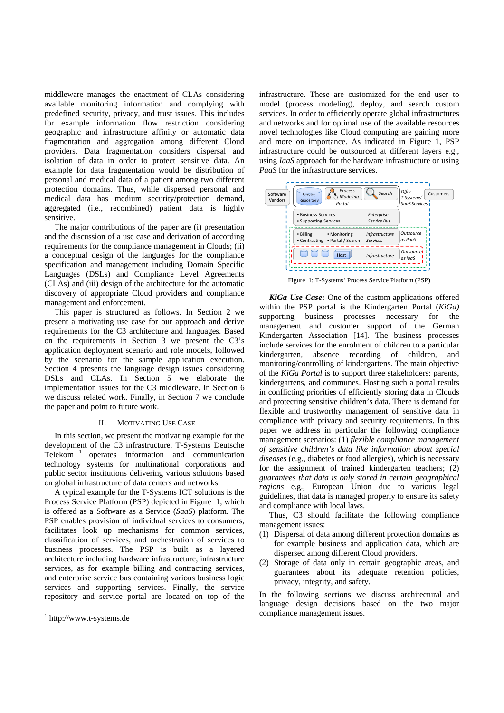middleware manages the enactment of CLAs considering available monitoring information and complying with predefined security, privacy, and trust issues. This includes for example information flow restriction considering geographic and infrastructure affinity or automatic data fragmentation and aggregation among different Cloud providers. Data fragmentation considers dispersal and isolation of data in order to protect sensitive data. An example for data fragmentation would be distribution of personal and medical data of a patient among two different protection domains. Thus, while dispersed personal and medical data has medium security/protection demand, aggregated (i.e., recombined) patient data is highly sensitive.

The major contributions of the paper are (i) presentation and the discussion of a use case and derivation of according requirements for the compliance management in Clouds; (ii) a conceptual design of the languages for the compliance specification and management including Domain Specific Languages (DSLs) and Compliance Level Agreements (CLAs) and (iii) design of the architecture for the automatic discovery of appropriate Cloud providers and compliance management and enforcement.

This paper is structured as follows. In Section 2 we present a motivating use case for our approach and derive requirements for the C3 architecture and languages. Based on the requirements in Section 3 we present the C3's application deployment scenario and role models, followed by the scenario for the sample application execution. Section 4 presents the language design issues considering DSLs and CLAs. In Section 5 we elaborate the implementation issues for the C3 middleware. In Section 6 we discuss related work. Finally, in Section 7 we conclude the paper and point to future work.

## II. MOTIVATING USE CASE

In this section, we present the motivating example for the development of the C3 infrastructure. T-Systems Deutsche Telekom $1$  operates information and communication technology systems for multinational corporations and public sector institutions delivering various solutions based on global infrastructure of data centers and networks.

A typical example for the T-Systems ICT solutions is the Process Service Platform (PSP) depicted in Figure 1, which is offered as a Software as a Service (*SaaS*) platform. The PSP enables provision of individual services to consumers, facilitates look up mechanisms for common services, classification of services, and orchestration of services to business processes. The PSP is built as a layered architecture including hardware infrastructure, infrastructure services, as for example billing and contracting services, and enterprise service bus containing various business logic services and supporting services. Finally, the service repository and service portal are located on top of the

infrastructure. These are customized for the end user to model (process modeling), deploy, and search custom services. In order to efficiently operate global infrastructures and networks and for optimal use of the available resources novel technologies like Cloud computing are gaining more and more on importance. As indicated in Figure 1, PSP infrastructure could be outsourced at different layers e.g., using *IaaS* approach for the hardware infrastructure or using *PaaS* for the infrastructure services.



Figure 1: T-Systems' Process Service Platform (PSP)

*KiGa Use Case***:** One of the custom applications offered within the PSP portal is the Kindergarten Portal (*KiGa)* supporting business processes necessary for the management and customer support of the German Kindergarten Association [14]. The business processes include services for the enrolment of children to a particular kindergarten, absence recording of children, and monitoring/controlling of kindergartens. The main objective of the *KiGa Portal* is to support three stakeholders: parents, kindergartens, and communes. Hosting such a portal results in conflicting priorities of efficiently storing data in Clouds and protecting sensitive children's data. There is demand for flexible and trustworthy management of sensitive data in compliance with privacy and security requirements. In this paper we address in particular the following compliance management scenarios: (1) *flexible compliance management of sensitive children's data like information about special diseases* (e.g., diabetes or food allergies), which is necessary for the assignment of trained kindergarten teachers; (2) *guarantees that data is only stored in certain geographical regions* e.g., European Union due to various legal guidelines, that data is managed properly to ensure its safety and compliance with local laws.

Thus, C3 should facilitate the following compliance management issues:

- (1) Dispersal of data among different protection domains as for example business and application data, which are dispersed among different Cloud providers.
- (2) Storage of data only in certain geographic areas, and guarantees about its adequate retention policies, privacy, integrity, and safety.

In the following sections we discuss architectural and language design decisions based on the two major compliance management issues.

 <sup>1</sup> http://www.t-systems.de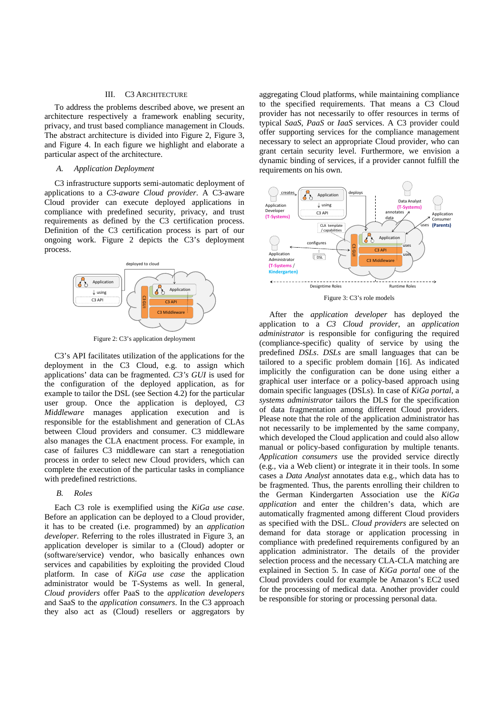# III. C3 ARCHITECTURE

To address the problems described above, we present an architecture respectively a framework enabling security, privacy, and trust based compliance management in Clouds. The abstract architecture is divided into Figure 2, Figure 3, and Figure 4. In each figure we highlight and elaborate a particular aspect of the architecture.

# *A. Application Deployment*

C3 infrastructure supports semi-automatic deployment of applications to a *C3-aware Cloud provider*. A C3-aware Cloud provider can execute deployed applications in compliance with predefined security, privacy, and trust requirements as defined by the C3 certification process. Definition of the C3 certification process is part of our ongoing work. Figure 2 depicts the C3's deployment process.



Figure 2: C3's application deployment

C3's API facilitates utilization of the applications for the deployment in the C3 Cloud, e.g. to assign which applications' data can be fragmented. *C3's GUI* is used for the configuration of the deployed application, as for example to tailor the DSL (see Section 4.2) for the particular user group. Once the application is deployed, *C3 Middleware* manages application execution and is responsible for the establishment and generation of CLAs between Cloud providers and consumer. C3 middleware also manages the CLA enactment process. For example, in case of failures C3 middleware can start a renegotiation process in order to select new Cloud providers, which can complete the execution of the particular tasks in compliance with predefined restrictions.

## *B. Roles*

Each C3 role is exemplified using the *KiGa use case*. Before an application can be deployed to a Cloud provider, it has to be created (i.e. programmed) by an *application developer*. Referring to the roles illustrated in Figure 3, an application developer is similar to a (Cloud) adopter or (software/service) vendor, who basically enhances own services and capabilities by exploiting the provided Cloud platform. In case of *KiGa use case* the application administrator would be T-Systems as well. In general, *Cloud providers* offer PaaS to the *application developers* and SaaS to the *application consumers*. In the C3 approach they also act as (Cloud) resellers or aggregators by

aggregating Cloud platforms, while maintaining compliance to the specified requirements. That means a C3 Cloud provider has not necessarily to offer resources in terms of typical *SaaS*, *PaaS* or *IaaS* services. A C3 provider could offer supporting services for the compliance management necessary to select an appropriate Cloud provider, who can grant certain security level. Furthermore, we envision a dynamic binding of services, if a provider cannot fulfill the requirements on his own.



Figure 3: C3's role models

After the *application developer* has deployed the application to a *C3 Cloud provider*, an *application administrator* is responsible for configuring the required (compliance-specific) quality of service by using the predefined *DSLs*. *DSLs* are small languages that can be tailored to a specific problem domain [16]. As indicated implicitly the configuration can be done using either a graphical user interface or a policy-based approach using domain specific languages (DSLs). In case of *KiGa portal*, a *systems administrator* tailors the DLS for the specification of data fragmentation among different Cloud providers. Please note that the role of the application administrator has not necessarily to be implemented by the same company, which developed the Cloud application and could also allow manual or policy-based configuration by multiple tenants. *Application consumers* use the provided service directly (e.g., via a Web client) or integrate it in their tools. In some cases a *Data Analyst* annotates data e.g., which data has to be fragmented. Thus, the parents enrolling their children to the German Kindergarten Association use the *KiGa application* and enter the children's data, which are automatically fragmented among different Cloud providers as specified with the DSL. *Cloud providers* are selected on demand for data storage or application processing in compliance with predefined requirements configured by an application administrator. The details of the provider selection process and the necessary CLA-CLA matching are explained in Section 5. In case of *KiGa portal* one of the Cloud providers could for example be Amazon's EC2 used for the processing of medical data. Another provider could be responsible for storing or processing personal data.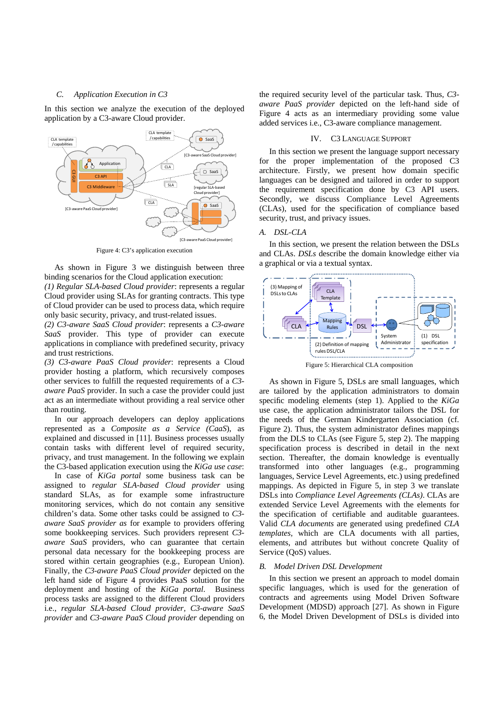# *C. Application Execution in C3*

In this section we analyze the execution of the deployed application by a C3-aware Cloud provider.



Figure 4: C3's application execution

As shown in Figure 3 we distinguish between three binding scenarios for the Cloud application execution: *(1) Regular SLA-based Cloud provider*: represents a regular Cloud provider using SLAs for granting contracts. This type

of Cloud provider can be used to process data, which require only basic security, privacy, and trust-related issues.

*(2) C3-aware SaaS Cloud provider*: represents a *C3-aware SaaS* provider. This type of provider can execute applications in compliance with predefined security, privacy and trust restrictions.

*(3) C3-aware PaaS Cloud provider*: represents a Cloud provider hosting a platform, which recursively composes other services to fulfill the requested requirements of a *C3 aware PaaS* provider. In such a case the provider could just act as an intermediate without providing a real service other than routing.

In our approach developers can deploy applications represented as a *Composite as a Service (CaaS*), as explained and discussed in [11]. Business processes usually contain tasks with different level of required security, privacy, and trust management. In the following we explain the C3-based application execution using the *KiGa use case*:

In case of *KiGa portal* some business task can be assigned to *regular SLA-based Cloud provider* using standard SLAs, as for example some infrastructure monitoring services, which do not contain any sensitive children's data. Some other tasks could be assigned to *C3 aware SaaS provider as* for example to providers offering some bookkeeping services. Such providers represent *C3 aware SaaS* providers, who can guarantee that certain personal data necessary for the bookkeeping process are stored within certain geographies (e.g., European Union). Finally, the *C3-aware PaaS Cloud provider* depicted on the left hand side of Figure 4 provides PaaS solution for the deployment and hosting of the *KiGa portal*. Business process tasks are assigned to the different Cloud providers i.e., *regular SLA-based Cloud provider, C3-aware SaaS provider* and *C3-aware PaaS Cloud provider* depending on

the required security level of the particular task. Thus, *C3 aware PaaS provider* depicted on the left-hand side of Figure 4 acts as an intermediary providing some value added services i.e., C3-aware compliance management.

# IV. C3 LANGUAGE SUPPORT

In this section we present the language support necessary for the proper implementation of the proposed C3 architecture. Firstly, we present how domain specific languages can be designed and tailored in order to support the requirement specification done by C3 API users. Secondly, we discuss Compliance Level Agreements (CLAs), used for the specification of compliance based security, trust, and privacy issues.

#### *A. DSL-CLA*

In this section, we present the relation between the DSLs and CLAs. *DSLs* describe the domain knowledge either via a graphical or via a textual syntax.



Figure 5: Hierarchical CLA composition

As shown in Figure 5, DSLs are small languages, which are tailored by the application administrators to domain specific modeling elements (step 1). Applied to the *KiGa* use case, the application administrator tailors the DSL for the needs of the German Kindergarten Association (cf. Figure 2). Thus, the system administrator defines mappings from the DLS to CLAs (see Figure 5, step 2). The mapping specification process is described in detail in the next section. Thereafter, the domain knowledge is eventually transformed into other languages (e.g., programming languages, Service Level Agreements, etc.) using predefined mappings. As depicted in Figure 5, in step 3 we translate DSLs into *Compliance Level Agreements (CLAs)*. CLAs are extended Service Level Agreements with the elements for the specification of certifiable and auditable guarantees. Valid *CLA documents* are generated using predefined *CLA templates,* which are CLA documents with all parties, elements, and attributes but without concrete Quality of Service (QoS) values.

## *B. Model Driven DSL Development*

In this section we present an approach to model domain specific languages, which is used for the generation of contracts and agreements using Model Driven Software Development (MDSD) approach [27]. As shown in Figure 6, the Model Driven Development of DSLs is divided into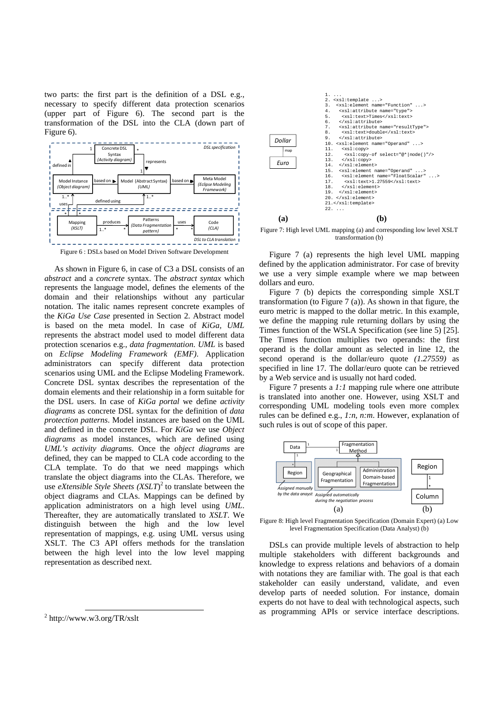two parts: the first part is the definition of a DSL e.g., necessary to specify different data protection scenarios (upper part of Figure 6). The second part is the transformation of the DSL into the CLA (down part of Figure 6).



Figure 6 : DSLs based on Model Driven Software Development

As shown in Figure 6, in case of C3 a DSL consists of an *abstract* and a *concrete* syntax. The *abstract syntax* which represents the language model, defines the elements of the domain and their relationships without any particular notation. The italic names represent concrete examples of the *KiGa Use Case* presented in Section 2. Abstract model is based on the meta model. In case of *KiGa, UML* represents the abstract model used to model different data protection scenarios e.g., *data fragmentation*. *UML* is based on *Eclipse Modeling Framework (EMF)*. Application administrators can specify different data protection scenarios using UML and the Eclipse Modeling Framework. Concrete DSL syntax describes the representation of the domain elements and their relationship in a form suitable for the DSL users. In case of *KiGa portal* we define *activity diagrams* as concrete DSL syntax for the definition of *data protection patterns*. Model instances are based on the UML and defined in the concrete DSL. For *KiGa* we use *Object diagrams* as model instances, which are defined using *UML's activity diagrams*. Once the *object diagrams* are defined, they can be mapped to CLA code according to the CLA template. To do that we need mappings which translate the object diagrams into the CLAs. Therefore, we use *eXtensible Style Sheets*  $(XSLT)^2$  to translate between the object diagrams and CLAs. Mappings can be defined by application administrators on a high level using *UML*. Thereafter, they are automatically translated to *XSLT*. We distinguish between the high and the low level representation of mappings, e.g. using UML versus using XSLT. The C3 API offers methods for the translation between the high level into the low level mapping representation as described next.



Figure 7: High level UML mapping (a) and corresponding low level XSLT transformation (b)

Figure 7 (a) represents the high level UML mapping defined by the application administrator. For case of brevity we use a very simple example where we map between dollars and euro.

Figure 7 (b) depicts the corresponding simple XSLT transformation (to Figure 7 (a)). As shown in that figure, the euro metric is mapped to the dollar metric. In this example, we define the mapping rule returning dollars by using the Times function of the WSLA Specification (see line 5) [25]. The Times function multiplies two operands: the first operand is the dollar amount as selected in line 12, the second operand is the dollar/euro quote *(1.27559)* as specified in line 17. The dollar/euro quote can be retrieved by a Web service and is usually not hard coded.

Figure 7 presents a *1:1* mapping rule where one attribute is translated into another one. However, using XSLT and corresponding UML modeling tools even more complex rules can be defined e.g., *1:n*, *n:m*. However, explanation of such rules is out of scope of this paper.



Figure 8: High level Fragmentation Specification (Domain Expert) (a) Low level Fragmentation Specification (Data Analyst) (b)

DSLs can provide multiple levels of abstraction to help multiple stakeholders with different backgrounds and knowledge to express relations and behaviors of a domain with notations they are familiar with. The goal is that each stakeholder can easily understand, validate, and even develop parts of needed solution. For instance, domain experts do not have to deal with technological aspects, such as programming APIs or service interface descriptions.

 <sup>2</sup> http://www.w3.org/TR/xslt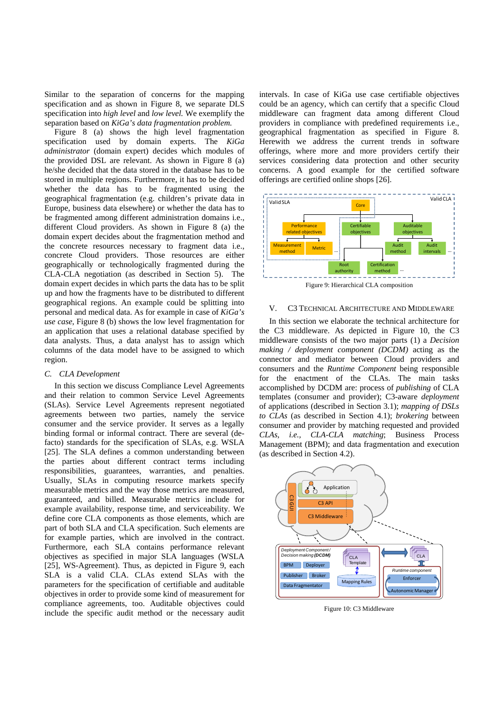Similar to the separation of concerns for the mapping specification and as shown in Figure 8, we separate DLS specification into *high level* and *low level.* We exemplify the separation based on *KiGa's data fragmentation problem.*

Figure 8 (a) shows the high level fragmentation specification used by domain experts. The *KiGa administrator* (domain expert) decides which modules of the provided DSL are relevant. As shown in Figure 8 (a) he/she decided that the data stored in the database has to be stored in multiple regions. Furthermore, it has to be decided whether the data has to be fragmented using the geographical fragmentation (e.g. children's private data in Europe, business data elsewhere) or whether the data has to be fragmented among different administration domains i.e., different Cloud providers. As shown in Figure 8 (a) the domain expert decides about the fragmentation method and the concrete resources necessary to fragment data i.e., concrete Cloud providers. Those resources are either geographically or technologically fragmented during the CLA-CLA negotiation (as described in Section 5). The domain expert decides in which parts the data has to be split up and how the fragments have to be distributed to different geographical regions. An example could be splitting into personal and medical data. As for example in case of *KiGa's use case*, Figure 8 (b) shows the low level fragmentation for an application that uses a relational database specified by data analysts. Thus, a data analyst has to assign which columns of the data model have to be assigned to which region.

# *C. CLA Development*

In this section we discuss Compliance Level Agreements and their relation to common Service Level Agreements (SLAs). Service Level Agreements represent negotiated agreements between two parties, namely the service consumer and the service provider. It serves as a legally binding formal or informal contract. There are several (defacto) standards for the specification of SLAs, e.g. WSLA [25]. The SLA defines a common understanding between the parties about different contract terms including responsibilities, guarantees, warranties, and penalties. Usually, SLAs in computing resource markets specify measurable metrics and the way those metrics are measured, guaranteed, and billed. Measurable metrics include for example availability, response time, and serviceability. We define core CLA components as those elements, which are part of both SLA and CLA specification. Such elements are for example parties, which are involved in the contract. Furthermore, each SLA contains performance relevant objectives as specified in major SLA languages (WSLA [25], WS-Agreement). Thus, as depicted in Figure 9, each SLA is a valid CLA. CLAs extend SLAs with the parameters for the specification of certifiable and auditable objectives in order to provide some kind of measurement for compliance agreements, too. Auditable objectives could include the specific audit method or the necessary audit

intervals. In case of KiGa use case certifiable objectives could be an agency, which can certify that a specific Cloud middleware can fragment data among different Cloud providers in compliance with predefined requirements i.e., geographical fragmentation as specified in Figure 8. Herewith we address the current trends in software offerings, where more and more providers certify their services considering data protection and other security concerns. A good example for the certified software offerings are certified online shops [26].



#### V. C3 TECHNICAL ARCHITECTURE AND MIDDLEWARE

In this section we elaborate the technical architecture for the C3 middleware. As depicted in Figure 10, the C3 middleware consists of the two major parts (1) a *Decision making / deployment component (DCDM)* acting as the connector and mediator between Cloud providers and consumers and the *Runtime Component* being responsible for the enactment of the CLAs. The main tasks accomplished by DCDM are: process of *publishing* of CLA templates (consumer and provider); C3-aware *deployment* of applications (described in Section 3.1); *mapping of DSLs to CLAs* (as described in Section 4.1); *brokering* between consumer and provider by matching requested and provided *CLAs, i.e., CLA-CLA matching*; Business Process Management (BPM); and data fragmentation and execution (as described in Section 4.2).



Figure 10: C3 Middleware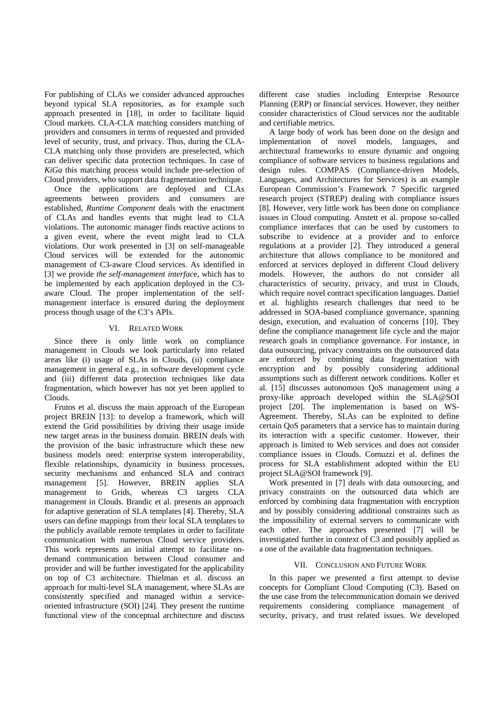For publishing of CLAs we consider advanced approaches beyond typical SLA repositories, as for example such approach presented in [18], in order to facilitate liquid Cloud markets. CLA-CLA matching considers matching of providers and consumers in terms of requested and provided level of security, trust, and privacy. Thus, during the CLA-CLA matching only those providers are preselected, which can deliver specific data protection techniques. In case of *KiGa* this matching process would include pre-selection of Cloud providers, who support data fragmentation technique.

Once the applications are deployed and CLAs agreements between providers and consumers are established, *Runtime Component* deals with the enactment of CLAs and handles events that might lead to CLA violations. The autonomic manager finds reactive actions to a given event, where the event might lead to CLA violations. Our work presented in [3] on self-manageable Cloud services will be extended for the autonomic management of C3-aware Cloud services. As identified in [3] we provide *the self-management interfac*e, which has to be implemented by each application deployed in the C3 aware Cloud. The proper implementation of the selfmanagement interface is ensured during the deployment process though usage of the C3's APIs.

# VI. RELATED WORK

Since there is only little work on compliance management in Clouds we look particularly into related areas like (i) usage of SLAs in Clouds, (ii) compliance management in general e.g., in software development cycle and (iii) different data protection techniques like data fragmentation, which however has not yet been applied to Clouds.

Frutos et al. discuss the main approach of the European project BREIN [13]: to develop a framework, which will extend the Grid possibilities by driving their usage inside new target areas in the business domain. BREIN deals with the provision of the basic infrastructure which these new business models need: enterprise system interoperability, flexible relationships, dynamicity in business processes, security mechanisms and enhanced SLA and contract management [5]. However, BREIN applies SLA management to Grids, whereas C3 targets CLA management in Clouds. Brandic et al. presents an approach for adaptive generation of SLA templates [4]. Thereby, SLA users can define mappings from their local SLA templates to the publicly available remote templates in order to facilitate communication with numerous Cloud service providers. This work represents an initial attempt to facilitate ondemand communication between Cloud consumer and provider and will be further investigated for the applicability on top of C3 architecture. Thielman et al. discuss an approach for multi-level SLA management, where SLAs are consistently specified and managed within a serviceoriented infrastructure (SOI) [24]. They present the runtime functional view of the conceptual architecture and discuss

different case studies including Enterprise Resource Planning (ERP) or financial services. However, they neither consider characteristics of Cloud services nor the auditable and certifiable metrics.

A large body of work has been done on the design and implementation of novel models, languages, and architectural frameworks to ensure dynamic and ongoing compliance of software services to business regulations and design rules. COMPAS (Compliance-driven Models, Languages, and Architectures for Services) is an example European Commission's Framework 7 Specific targeted research project (STREP) dealing with compliance issues [8]. However, very little work has been done on compliance issues in Cloud computing. Anstett et al. propose so-called compliance interfaces that can be used by customers to subscribe to evidence at a provider and to enforce regulations at a provider [2]. They introduced a general architecture that allows compliance to be monitored and enforced at services deployed in different Cloud delivery models. However, the authors do not consider all characteristics of security, privacy, and trust in Clouds, which require novel contract specification languages. Daniel et al. highlights research challenges that need to be addressed in SOA-based compliance governance, spanning design, execution, and evaluation of concerns [10]. They define the compliance management life cycle and the major research goals in compliance governance. For instance, in data outsourcing, privacy constraints on the outsourced data are enforced by combining data fragmentation with encryption and by possibly considering additional assumptions such as different network conditions. Koller et al. [15] discusses autonomous QoS management using a proxy-like approach developed within the SLA@SOI project [20]. The implementation is based on WS-Agreement. Thereby, SLAs can be exploited to define certain QoS parameters that a service has to maintain during its interaction with a specific customer. However, their approach is limited to Web services and does not consider compliance issues in Clouds. Comuzzi et al. defines the process for SLA establishment adopted within the EU project SLA@SOI framework [9].

Work presented in [7] deals with data outsourcing, and privacy constraints on the outsourced data which are enforced by combining data fragmentation with encryption and by possibly considering additional constraints such as the impossibility of external servers to communicate with each other. The approaches presented [7] will be investigated further in context of C3 and possibly applied as a one of the available data fragmentation techniques.

## VII. CONCLUSION AND FUTURE WORK

In this paper we presented a first attempt to devise concepts for Compliant Cloud Computing (C3). Based on the use case from the telecommunication domain we derived requirements considering compliance management of security, privacy, and trust related issues. We developed